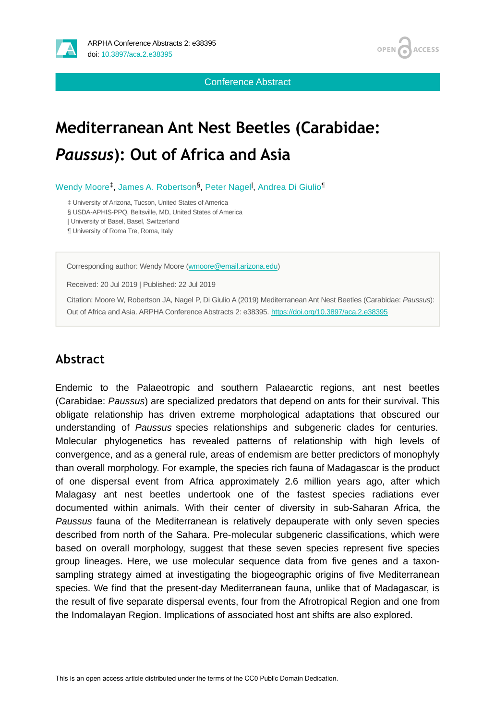



Conference Abstract

# **Mediterranean Ant Nest Beetles (Carabidae:**  *Paussus***): Out of Africa and Asia**

Wendy Moore<sup>‡</sup>, James A. Robertson<sup>§</sup>, Peter Nagel<sup>l</sup>, Andrea Di Giulio<sup>¶</sup>

‡ University of Arizona, Tucson, United States of America

§ USDA-APHIS-PPQ, Beltsville, MD, United States of America

| University of Basel, Basel, Switzerland

¶ University of Roma Tre, Roma, Italy

Corresponding author: Wendy Moore [\(wmoore@email.arizona.edu](mailto:wmoore@email.arizona.edu))

Received: 20 Jul 2019 | Published: 22 Jul 2019

Citation: Moore W, Robertson JA, Nagel P, Di Giulio A (2019) Mediterranean Ant Nest Beetles (Carabidae: *Paussus*): Out of Africa and Asia. ARPHA Conference Abstracts 2: e38395.<https://doi.org/10.3897/aca.2.e38395>

#### **Abstract**

Endemic to the Palaeotropic and southern Palaearctic regions, ant nest beetles (Carabidae: *Paussus*) are specialized predators that depend on ants for their survival. This obligate relationship has driven extreme morphological adaptations that obscured our understanding of *Paussus* species relationships and subgeneric clades for centuries. Molecular phylogenetics has revealed patterns of relationship with high levels of convergence, and as a general rule, areas of endemism are better predictors of monophyly than overall morphology. For example, the species rich fauna of Madagascar is the product of one dispersal event from Africa approximately 2.6 million years ago, after which Malagasy ant nest beetles undertook one of the fastest species radiations ever documented within animals. With their center of diversity in sub-Saharan Africa, the *Paussus* fauna of the Mediterranean is relatively depauperate with only seven species described from north of the Sahara. Pre-molecular subgeneric classifications, which were based on overall morphology, suggest that these seven species represent five species group lineages. Here, we use molecular sequence data from five genes and a taxonsampling strategy aimed at investigating the biogeographic origins of five Mediterranean species. We find that the present-day Mediterranean fauna, unlike that of Madagascar, is the result of five separate dispersal events, four from the Afrotropical Region and one from the Indomalayan Region. Implications of associated host ant shifts are also explored.